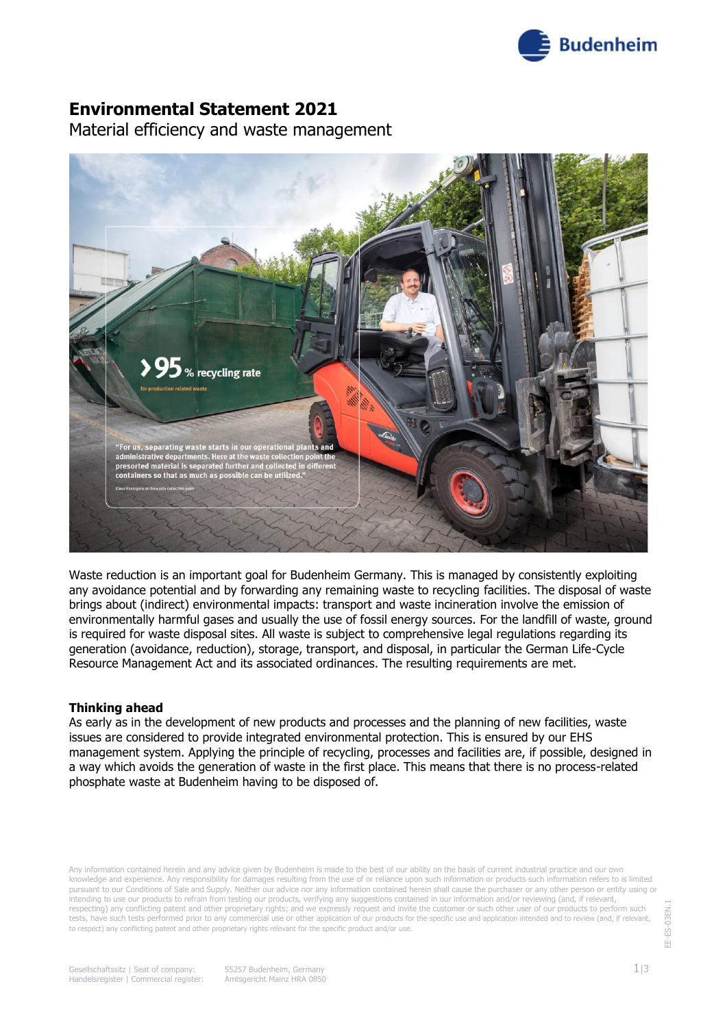

## **Environmental Statement 2021**

Material efficiency and waste management



Waste reduction is an important goal for Budenheim Germany. This is managed by consistently exploiting any avoidance potential and by forwarding any remaining waste to recycling facilities. The disposal of waste brings about (indirect) environmental impacts: transport and waste incineration involve the emission of environmentally harmful gases and usually the use of fossil energy sources. For the landfill of waste, ground is required for waste disposal sites. All waste is subject to comprehensive legal regulations regarding its generation (avoidance, reduction), storage, transport, and disposal, in particular the German Life-Cycle Resource Management Act and its associated ordinances. The resulting requirements are met.

#### **Thinking ahead**

As early as in the development of new products and processes and the planning of new facilities, waste issues are considered to provide integrated environmental protection. This is ensured by our EHS management system. Applying the principle of recycling, processes and facilities are, if possible, designed in a way which avoids the generation of waste in the first place. This means that there is no process-related phosphate waste at Budenheim having to be disposed of.

Any information contained herein and any advice given by Budenheim is made to the best of our ability on the basis of current industrial practice and our own knowledge and experience. Any responsibility for damages resulting from the use of or reliance upon such information or products such information refers to is limited pursuant to our Conditions of Sale and Supply. Neither our advice nor any information contained herein shall cause the purchaser or any other person or entity using or intending to use our products to refrain from testing our products, verifying any suggestions contained in our information and/or reviewing (and, if relevant, respecting) any conflicting patent and other proprietary rights; and we expressly request and invite the customer or such other user of our products to perform such tests, have such tests performed prior to any commercial use or other application of our products for the specific use and application intended and to review (and, if relevant, to respect) any conflicting patent and other proprietary rights relevant for the specific product and/or use.

EE-ES-03EN.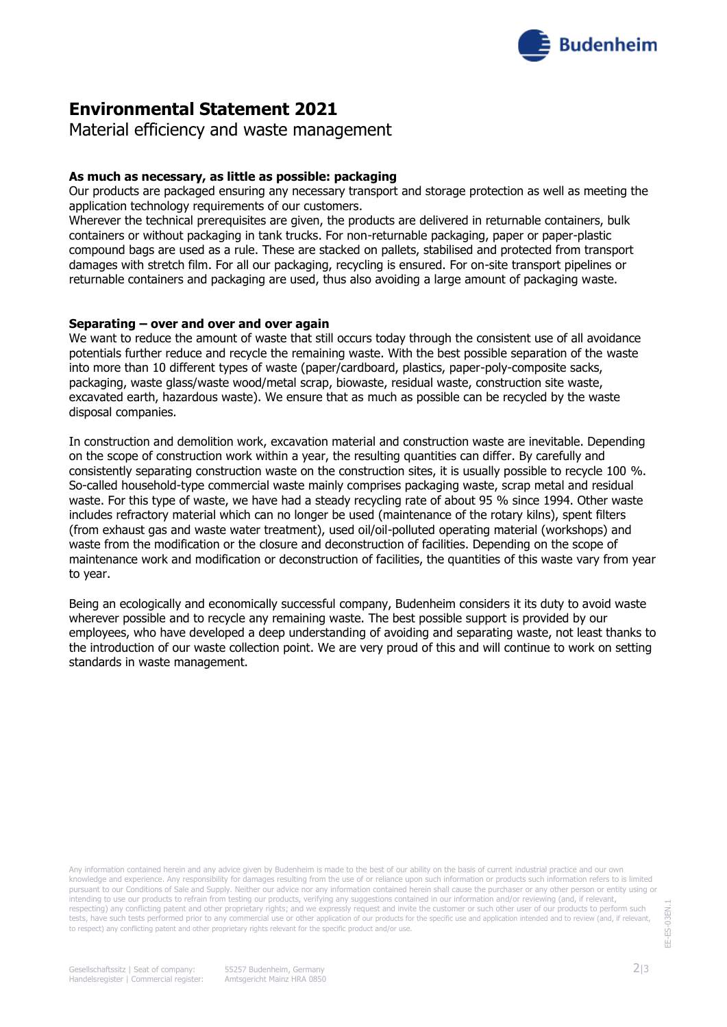

# **Environmental Statement 2021**

Material efficiency and waste management

### **As much as necessary, as little as possible: packaging**

Our products are packaged ensuring any necessary transport and storage protection as well as meeting the application technology requirements of our customers.

Wherever the technical prerequisites are given, the products are delivered in returnable containers, bulk containers or without packaging in tank trucks. For non-returnable packaging, paper or paper-plastic compound bags are used as a rule. These are stacked on pallets, stabilised and protected from transport damages with stretch film. For all our packaging, recycling is ensured. For on-site transport pipelines or returnable containers and packaging are used, thus also avoiding a large amount of packaging waste.

#### **Separating – over and over and over again**

We want to reduce the amount of waste that still occurs today through the consistent use of all avoidance potentials further reduce and recycle the remaining waste. With the best possible separation of the waste into more than 10 different types of waste (paper/cardboard, plastics, paper-poly-composite sacks, packaging, waste glass/waste wood/metal scrap, biowaste, residual waste, construction site waste, excavated earth, hazardous waste). We ensure that as much as possible can be recycled by the waste disposal companies.

In construction and demolition work, excavation material and construction waste are inevitable. Depending on the scope of construction work within a year, the resulting quantities can differ. By carefully and consistently separating construction waste on the construction sites, it is usually possible to recycle 100 %. So-called household-type commercial waste mainly comprises packaging waste, scrap metal and residual waste. For this type of waste, we have had a steady recycling rate of about 95 % since 1994. Other waste includes refractory material which can no longer be used (maintenance of the rotary kilns), spent filters (from exhaust gas and waste water treatment), used oil/oil-polluted operating material (workshops) and waste from the modification or the closure and deconstruction of facilities. Depending on the scope of maintenance work and modification or deconstruction of facilities, the quantities of this waste vary from year to year.

Being an ecologically and economically successful company, Budenheim considers it its duty to avoid waste wherever possible and to recycle any remaining waste. The best possible support is provided by our employees, who have developed a deep understanding of avoiding and separating waste, not least thanks to the introduction of our waste collection point. We are very proud of this and will continue to work on setting standards in waste management.

Any information contained herein and any advice given by Budenheim is made to the best of our ability on the basis of current industrial practice and our own knowledge and experience. Any responsibility for damages resulting from the use of or reliance upon such information or products such information refers to is limited pursuant to our Conditions of Sale and Supply. Neither our advice nor any information contained herein shall cause the purchaser or any other person or entity using or intending to use our products to refrain from testing our products, verifying any suggestions contained in our information and/or reviewing (and, if relevant, respecting) any conflicting patent and other proprietary rights; and we expressly request and invite the customer or such other user of our products to perform such tests, have such tests performed prior to any commercial use or other application of our products for the specific use and application intended and to review (and, if relevant, to respect) any conflicting patent and other proprietary rights relevant for the specific product and/or use.